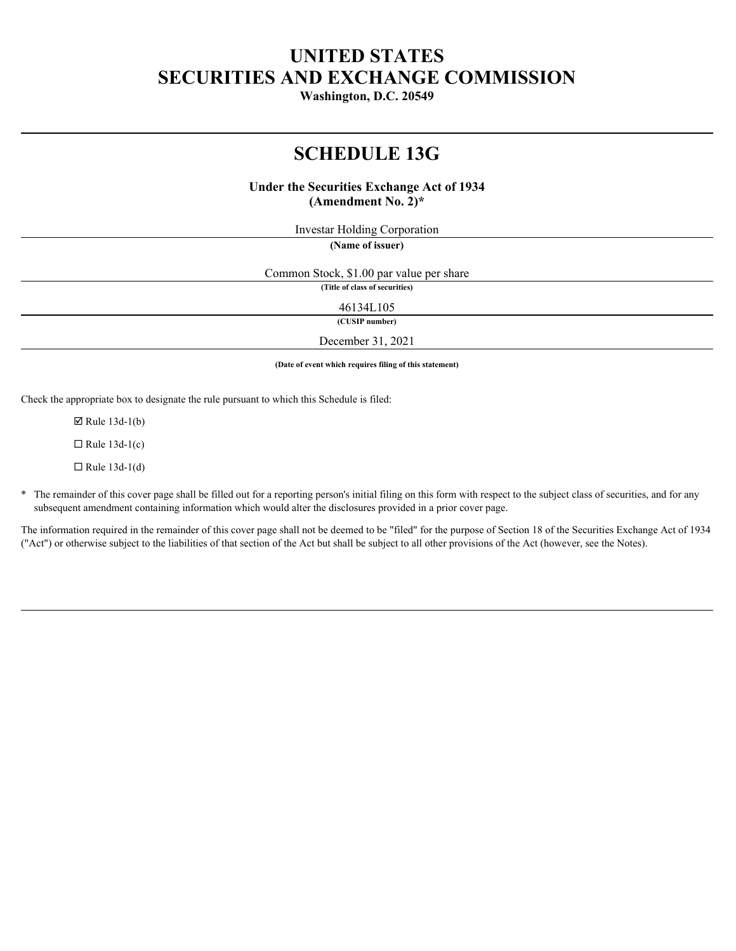# **UNITED STATES SECURITIES AND EXCHANGE COMMISSION**

**Washington, D.C. 20549**

# **SCHEDULE 13G**

# **Under the Securities Exchange Act of 1934 (Amendment No. 2)\***

Investar Holding Corporation

**(Name of issuer)**

Common Stock, \$1.00 par value per share **(Title of class of securities)**

46134L105

**(CUSIP number)**

December 31, 2021

**(Date of event which requires filing of this statement)**

Check the appropriate box to designate the rule pursuant to which this Schedule is filed:

 $\boxtimes$  Rule 13d-1(b)

 $\Box$  Rule 13d-1(c)

 $\Box$  Rule 13d-1(d)

\* The remainder of this cover page shall be filled out for a reporting person's initial filing on this form with respect to the subject class of securities, and for any subsequent amendment containing information which would alter the disclosures provided in a prior cover page.

The information required in the remainder of this cover page shall not be deemed to be "filed" for the purpose of Section 18 of the Securities Exchange Act of 1934 ("Act") or otherwise subject to the liabilities of that section of the Act but shall be subject to all other provisions of the Act (however, see the Notes).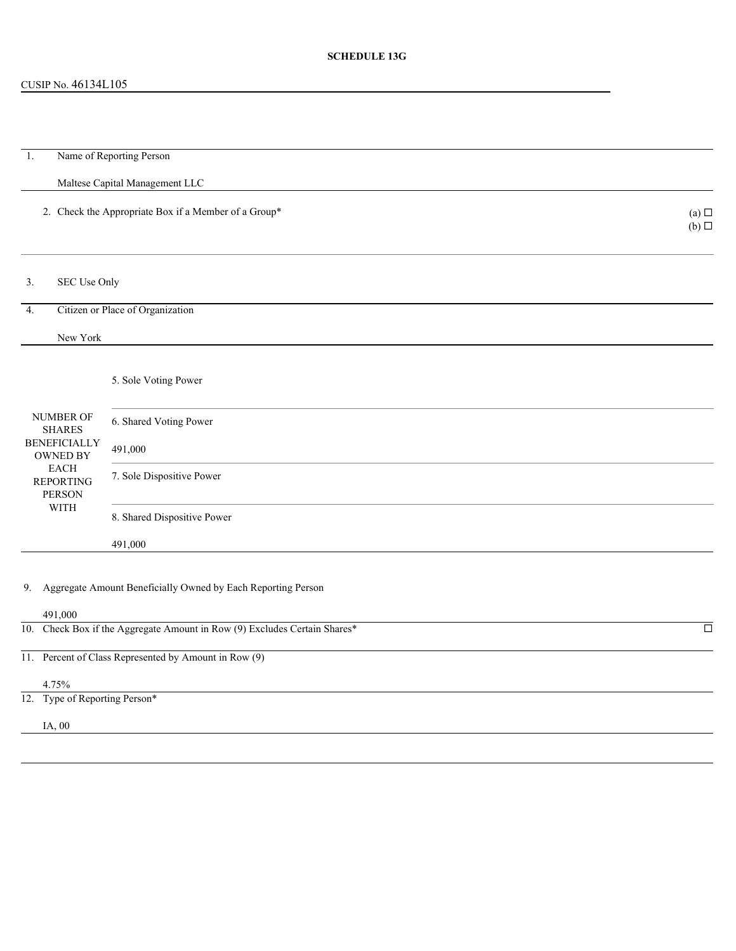# CUSIP No. 46134L105

| Name of Reporting Person<br>$\overline{1}$ .                                         |                                                                 |  |                               |  |  |  |  |
|--------------------------------------------------------------------------------------|-----------------------------------------------------------------|--|-------------------------------|--|--|--|--|
|                                                                                      | Maltese Capital Management LLC                                  |  |                               |  |  |  |  |
|                                                                                      | 2. Check the Appropriate Box if a Member of a Group*            |  | (a) $\Box$<br>$(b)$ $\square$ |  |  |  |  |
| SEC Use Only<br>3.                                                                   |                                                                 |  |                               |  |  |  |  |
| Citizen or Place of Organization<br>4.                                               |                                                                 |  |                               |  |  |  |  |
| New York                                                                             |                                                                 |  |                               |  |  |  |  |
|                                                                                      |                                                                 |  |                               |  |  |  |  |
| NUMBER OF<br><b>SHARES</b>                                                           | 5. Sole Voting Power                                            |  |                               |  |  |  |  |
|                                                                                      | 6. Shared Voting Power                                          |  |                               |  |  |  |  |
| <b>BENEFICIALLY</b><br>OWNED BY                                                      | 491,000                                                         |  |                               |  |  |  |  |
| EACH<br><b>REPORTING</b><br>PERSON                                                   | 7. Sole Dispositive Power                                       |  |                               |  |  |  |  |
| WITH                                                                                 | 8. Shared Dispositive Power                                     |  |                               |  |  |  |  |
|                                                                                      | 491,000                                                         |  |                               |  |  |  |  |
|                                                                                      | 9. Aggregate Amount Beneficially Owned by Each Reporting Person |  |                               |  |  |  |  |
| 491,000<br>10. Check Box if the Aggregate Amount in Row (9) Excludes Certain Shares* |                                                                 |  |                               |  |  |  |  |
|                                                                                      |                                                                 |  | $\overline{\Box}$             |  |  |  |  |
|                                                                                      | 11. Percent of Class Represented by Amount in Row (9)           |  |                               |  |  |  |  |
| 4.75%                                                                                |                                                                 |  |                               |  |  |  |  |
| 12. Type of Reporting Person*                                                        |                                                                 |  |                               |  |  |  |  |
| IA, 00                                                                               |                                                                 |  |                               |  |  |  |  |
|                                                                                      |                                                                 |  |                               |  |  |  |  |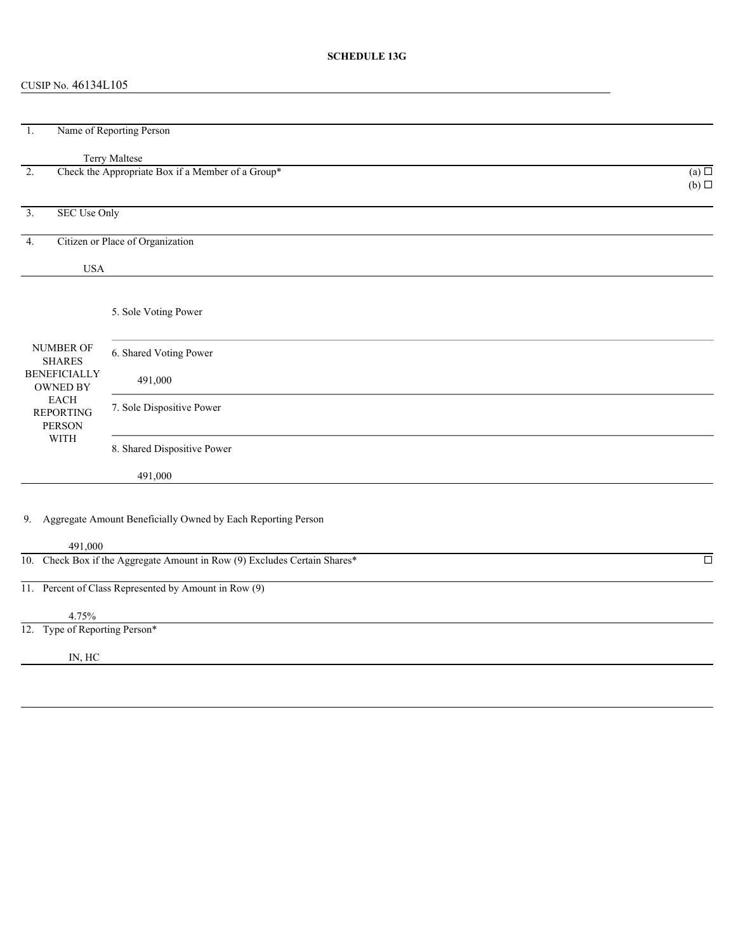# **SCHEDULE 13G**

# CUSIP No. 46134L105

| Name of Reporting Person<br>-1.                                                                                                  |                                                                           |                        |  |  |  |
|----------------------------------------------------------------------------------------------------------------------------------|---------------------------------------------------------------------------|------------------------|--|--|--|
|                                                                                                                                  | Terry Maltese                                                             |                        |  |  |  |
| 2.                                                                                                                               | Check the Appropriate Box if a Member of a Group*                         | (a)<br>$(b)$ $\square$ |  |  |  |
| <b>SEC Use Only</b><br>3.                                                                                                        |                                                                           |                        |  |  |  |
| 4.                                                                                                                               | Citizen or Place of Organization                                          |                        |  |  |  |
| <b>USA</b>                                                                                                                       |                                                                           |                        |  |  |  |
| <b>NUMBER OF</b><br><b>SHARES</b><br><b>BENEFICIALLY</b><br>OWNED BY<br><b>EACH</b><br><b>REPORTING</b><br>PERSON<br><b>WITH</b> | 5. Sole Voting Power                                                      |                        |  |  |  |
|                                                                                                                                  | 6. Shared Voting Power                                                    |                        |  |  |  |
|                                                                                                                                  | 491,000                                                                   |                        |  |  |  |
|                                                                                                                                  | 7. Sole Dispositive Power                                                 |                        |  |  |  |
|                                                                                                                                  | 8. Shared Dispositive Power                                               |                        |  |  |  |
|                                                                                                                                  | 491,000                                                                   |                        |  |  |  |
| 491,000                                                                                                                          | 9. Aggregate Amount Beneficially Owned by Each Reporting Person           |                        |  |  |  |
|                                                                                                                                  | 10. Check Box if the Aggregate Amount in Row (9) Excludes Certain Shares* | $\Box$                 |  |  |  |
|                                                                                                                                  | 11. Percent of Class Represented by Amount in Row (9)                     |                        |  |  |  |

4.75%

12. Type of Reporting Person\*

IN, HC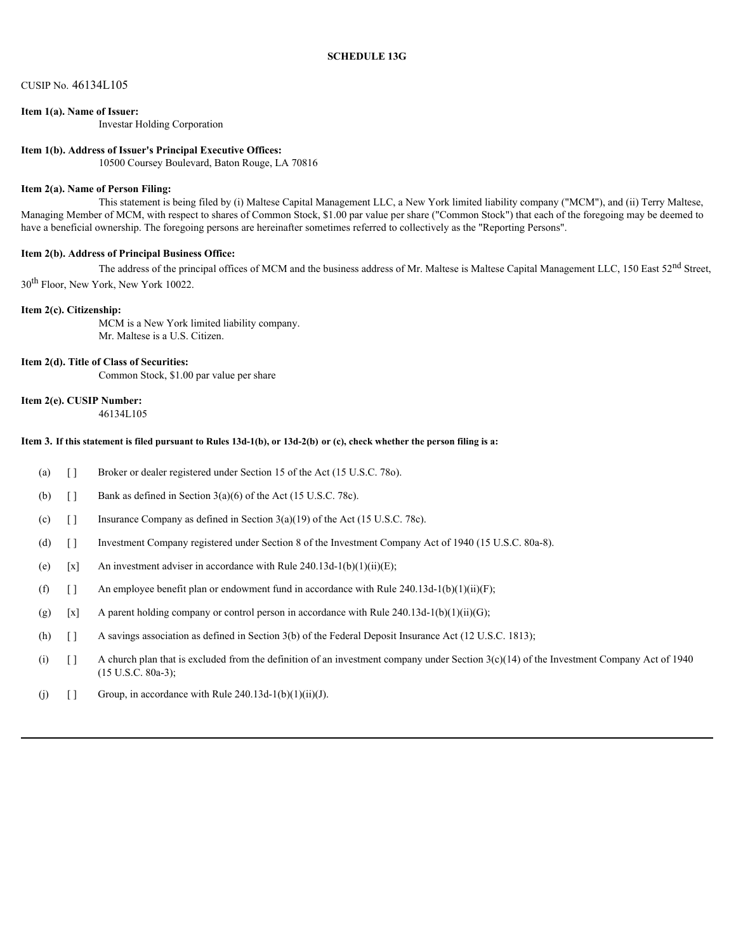### CUSIP No. 46134L105

## **Item 1(a). Name of Issuer:**

Investar Holding Corporation

#### **Item 1(b). Address of Issuer's Principal Executive Offices:**

10500 Coursey Boulevard, Baton Rouge, LA 70816

#### **Item 2(a). Name of Person Filing:**

This statement is being filed by (i) Maltese Capital Management LLC, a New York limited liability company ("MCM"), and (ii) Terry Maltese, Managing Member of MCM, with respect to shares of Common Stock, \$1.00 par value per share ("Common Stock") that each of the foregoing may be deemed to have a beneficial ownership. The foregoing persons are hereinafter sometimes referred to collectively as the "Reporting Persons".

#### **Item 2(b). Address of Principal Business Office:**

The address of the principal offices of MCM and the business address of Mr. Maltese is Maltese Capital Management LLC, 150 East 52<sup>nd</sup> Street, 30th Floor, New York, New York 10022.

#### **Item 2(c). Citizenship:**

MCM is a New York limited liability company. Mr. Maltese is a U.S. Citizen.

#### **Item 2(d). Title of Class of Securities:**

Common Stock, \$1.00 par value per share

### **Item 2(e). CUSIP Number:**

46134L105

## **Item 3. If this statement is filed pursuant to Rules 13d-1(b), or 13d-2(b) or (c), check whether the person filing is a:**

- (a) [ ] Broker or dealer registered under Section 15 of the Act (15 U.S.C. 78o).
- (b)  $\left[\right]$  Bank as defined in Section 3(a)(6) of the Act (15 U.S.C. 78c).
- (c)  $\begin{bmatrix} \end{bmatrix}$  Insurance Company as defined in Section 3(a)(19) of the Act (15 U.S.C. 78c).
- (d) [ ] Investment Company registered under Section 8 of the Investment Company Act of 1940 (15 U.S.C. 80a-8).
- (e)  $[x]$  An investment adviser in accordance with Rule 240.13d-1(b)(1)(ii)(E);
- (f)  $\left[ \right]$  An employee benefit plan or endowment fund in accordance with Rule 240.13d-1(b)(1)(ii)(F);
- (g)  $[x]$  A parent holding company or control person in accordance with Rule 240.13d-1(b)(1)(ii)(G);
- (h) [ ] A savings association as defined in Section 3(b) of the Federal Deposit Insurance Act (12 U.S.C. 1813);
- (i)  $\lceil \rceil$  A church plan that is excluded from the definition of an investment company under Section 3(c)(14) of the Investment Company Act of 1940 (15 U.S.C. 80a-3);
- (j)  $\lceil \cdot \rceil$  Group, in accordance with Rule 240.13d-1(b)(1)(ii)(J).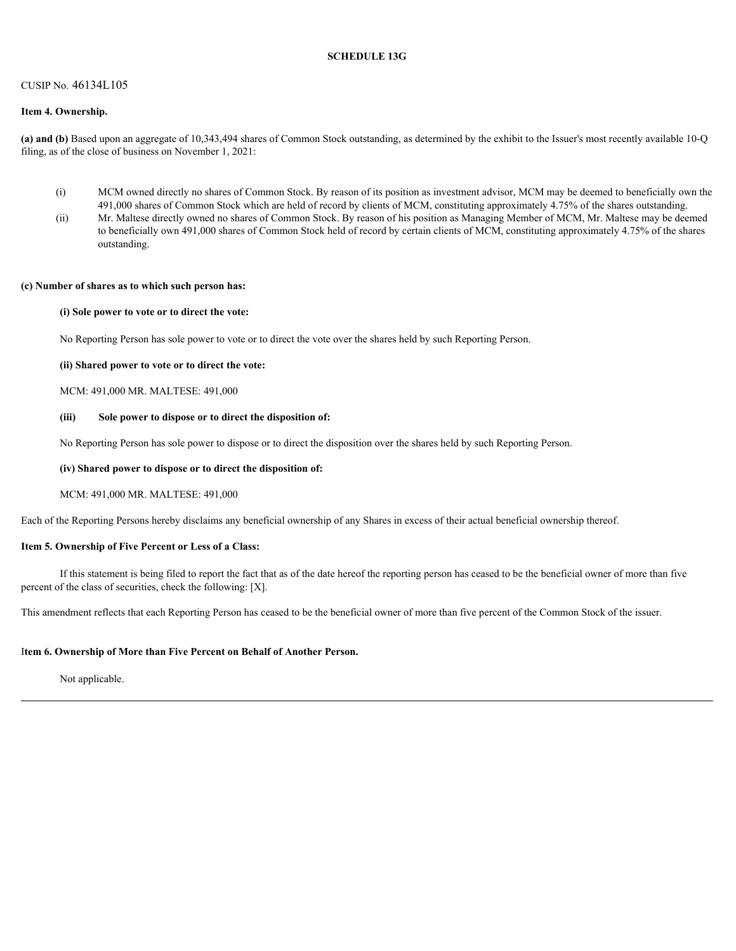#### **SCHEDULE 13G**

#### CUSIP No. 46134L105

#### **Item 4. Ownership.**

**(a) and (b)** Based upon an aggregate of 10,343,494 shares of Common Stock outstanding, as determined by the exhibit to the Issuer's most recently available 10-Q filing, as of the close of business on November 1, 2021:

- (i) MCM owned directly no shares of Common Stock. By reason of its position as investment advisor, MCM may be deemed to beneficially own the 491,000 shares of Common Stock which are held of record by clients of MCM, constituting approximately 4.75% of the shares outstanding.
- (ii) Mr. Maltese directly owned no shares of Common Stock. By reason of his position as Managing Member of MCM, Mr. Maltese may be deemed to beneficially own 491,000 shares of Common Stock held of record by certain clients of MCM, constituting approximately 4.75% of the shares outstanding.

#### **(c) Number of shares as to which such person has:**

#### **(i) Sole power to vote or to direct the vote:**

No Reporting Person has sole power to vote or to direct the vote over the shares held by such Reporting Person.

#### **(ii) Shared power to vote or to direct the vote:**

MCM: 491,000 MR. MALTESE: 491,000

#### **(iii) Sole power to dispose or to direct the disposition of:**

No Reporting Person has sole power to dispose or to direct the disposition over the shares held by such Reporting Person.

#### **(iv) Shared power to dispose or to direct the disposition of:**

MCM: 491,000 MR. MALTESE: 491,000

Each of the Reporting Persons hereby disclaims any beneficial ownership of any Shares in excess of their actual beneficial ownership thereof.

#### **Item 5. Ownership of Five Percent or Less of a Class:**

If this statement is being filed to report the fact that as of the date hereof the reporting person has ceased to be the beneficial owner of more than five percent of the class of securities, check the following: [X].

This amendment reflects that each Reporting Person has ceased to be the beneficial owner of more than five percent of the Common Stock of the issuer.

#### I**tem 6. Ownership of More than Five Percent on Behalf of Another Person.**

Not applicable.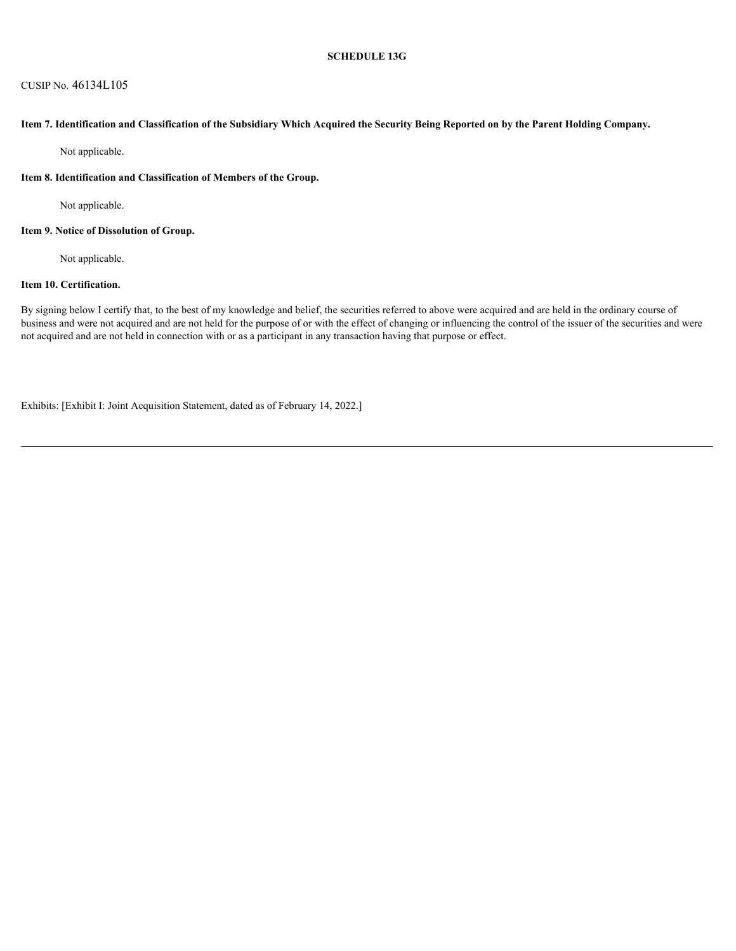## CUSIP No. 46134L105

### **Item 7. Identification and Classification of the Subsidiary Which Acquired the Security Being Reported on by the Parent Holding Company.**

Not applicable.

#### **Item 8. Identification and Classification of Members of the Group.**

Not applicable.

### **Item 9. Notice of Dissolution of Group.**

Not applicable.

# **Item 10. Certification.**

By signing below I certify that, to the best of my knowledge and belief, the securities referred to above were acquired and are held in the ordinary course of business and were not acquired and are not held for the purpose of or with the effect of changing or influencing the control of the issuer of the securities and were not acquired and are not held in connection with or as a participant in any transaction having that purpose or effect.

Exhibits: [Exhibit I: Joint Acquisition Statement, dated as of February 14, 2022.]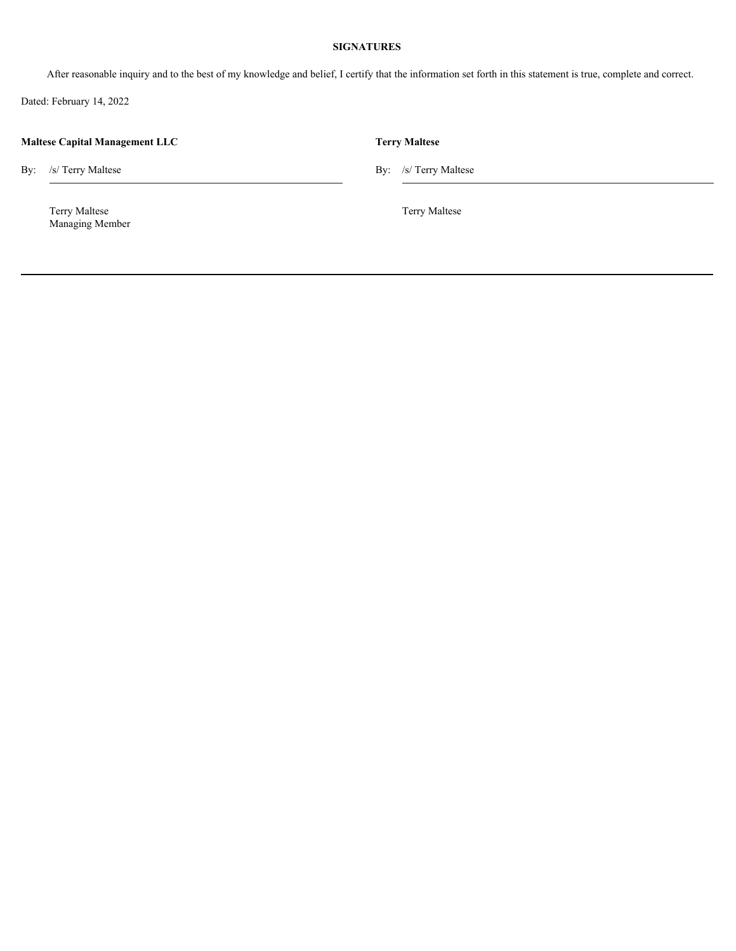# **SIGNATURES**

After reasonable inquiry and to the best of my knowledge and belief, I certify that the information set forth in this statement is true, complete and correct.

Dated: February 14, 2022

| <b>Maltese Capital Management LLC</b> |                                  |  | <b>Terry Maltese</b>  |  |  |  |
|---------------------------------------|----------------------------------|--|-----------------------|--|--|--|
|                                       | By: /s/ Terry Maltese            |  | By: /s/ Terry Maltese |  |  |  |
|                                       | Terry Maltese<br>Managing Member |  | Terry Maltese         |  |  |  |